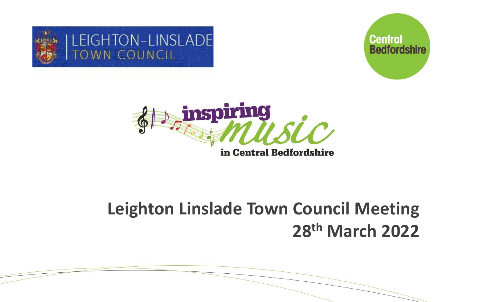





### **Leighton Linslade Town Council Meeting 28th March 2022**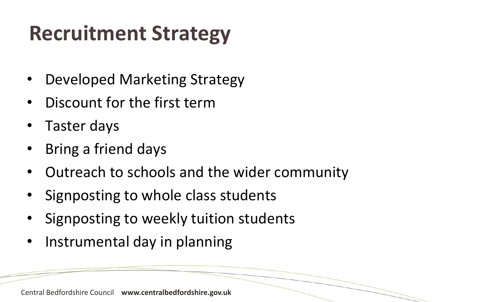## **Recruitment Strategy**

- Developed Marketing Strategy
- Discount for the first term
- Taster days
- Bring a friend days
- Outreach to schools and the wider community
- Signposting to whole class students
- Signposting to weekly tuition students
- Instrumental day in planning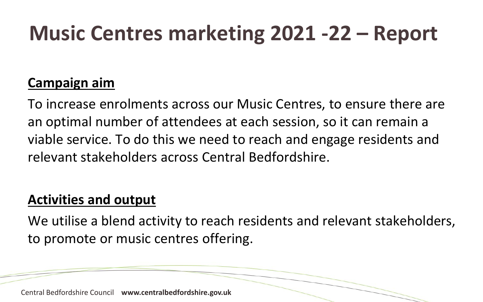### **Music Centres marketing 2021 -22 – Report**

#### **Campaign aim**

To increase enrolments across our Music Centres, to ensure there are an optimal number of attendees at each session, so it can remain a viable service. To do this we need to reach and engage residents and relevant stakeholders across Central Bedfordshire.

#### **Activities and output**

We utilise a blend activity to reach residents and relevant stakeholders, to promote or music centres offering.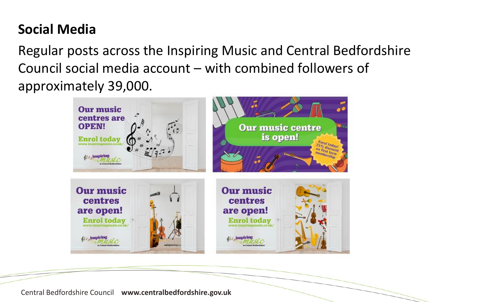### **Social Media**

Regular posts across the Inspiring Music and Central Bedfordshire Council social media account – with combined followers of approximately 39,000.

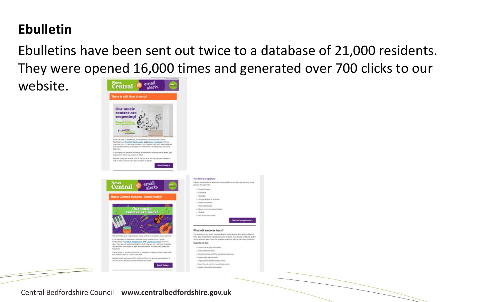#### **Ebulletin**

Ebulletins have been sent out twice to a database of 21,000 residents. They were opened 16,000 times and generated over 700 clicks to our

See full programme

website.

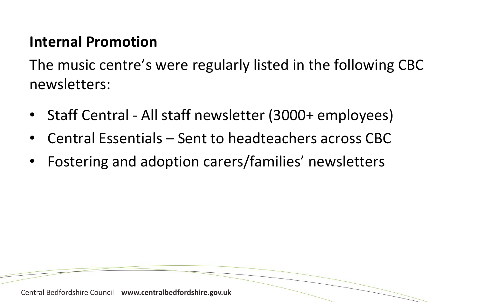### **Internal Promotion**

The music centre's were regularly listed in the following CBC newsletters:

- Staff Central All staff newsletter (3000+ employees)
- Central Essentials Sent to headteachers across CBC
- Fostering and adoption carers/families' newsletters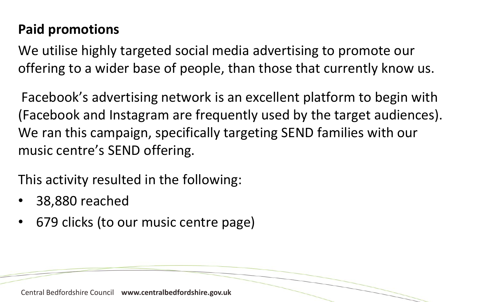### **Paid promotions**

We utilise highly targeted social media advertising to promote our offering to a wider base of people, than those that currently know us.

Facebook's advertising network is an excellent platform to begin with (Facebook and Instagram are frequently used by the target audiences). We ran this campaign, specifically targeting SEND families with our music centre's SEND offering.

This activity resulted in the following:

- 38,880 reached
- 679 clicks (to our music centre page)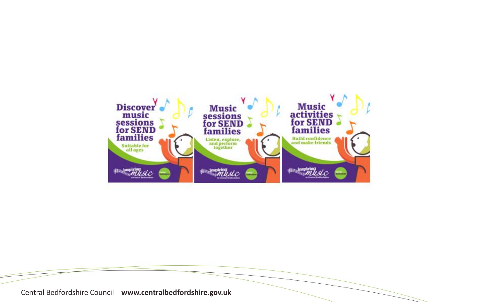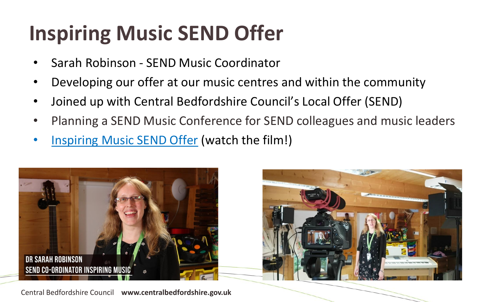# **Inspiring Music SEND Offer**

- Sarah Robinson SEND Music Coordinator
- Developing our offer at our music centres and within the community
- Joined up with Central Bedfordshire Council's Local Offer (SEND)
- Planning a SEND Music Conference for SEND colleagues and music leaders
- [Inspiring Music SEND Offer](https://centralbedfordshire.box.com/s/9mc4wix0jbuvoyiuzyydetpfpu7j0ait) (watch the film!)



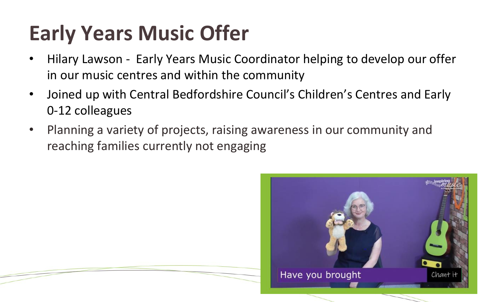## **Early Years Music Offer**

- Hilary Lawson Early Years Music Coordinator helping to develop our offer in our music centres and within the community
- Joined up with Central Bedfordshire Council's Children's Centres and Early 0-12 colleagues
- Planning a variety of projects, raising awareness in our community and reaching families currently not engaging